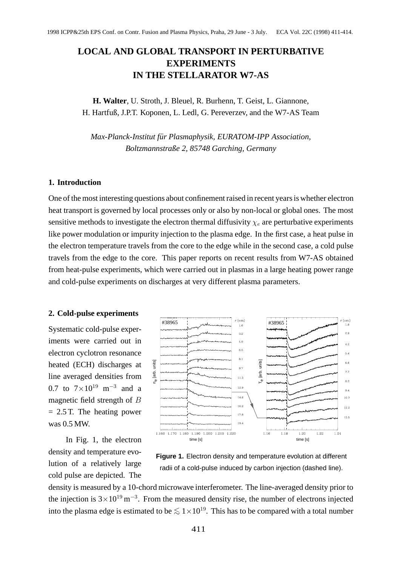# **LOCAL AND GLOBAL TRANSPORT IN PERTURBATIVE EXPERIMENTS IN THE STELLARATOR W7-AS**

**H. Walter**, U. Stroth, J. Bleuel, R. Burhenn, T. Geist, L. Giannone, H. Hartfuß, J.P.T. Koponen, L. Ledl, G. Pereverzev, and the W7-AS Team

*Max-Planck-Institut für Plasmaphysik, EURATOM-IPP Association, Boltzmannstraße 2, 85748 Garching, Germany*

## **1. Introduction**

One of the most interesting questions about confinement raised in recent years is whether electron heat transport is governed by local processes only or also by non-local or global ones. The most sensitive methods to investigate the electron thermal diffusivity  $\chi_e$  are perturbative experiments like power modulation or impurity injection to the plasma edge. In the first case, a heat pulse in the electron temperature travels from the core to the edge while in the second case, a cold pulse travels from the edge to the core. This paper reports on recent results from W7-AS obtained from heat-pulse experiments, which were carried out in plasmas in a large heating power range and cold-pulse experiments on discharges at very different plasma parameters.

#### **2. Cold-pulse experiments**

Systematic cold-pulse experiments were carried out in electron cyclotron resonance heated (ECH) discharges at line averaged densities from 0.7 to  $7 \times 10^{19}$  m<sup>-3</sup> and a magnetic field strength of B  $= 2.5$  T. The heating power was 0.5 MW.

In Fig. 1, the electron density and temperature evolution of a relatively large cold pulse are depicted. The



**Figure 1.** Electron density and temperature evolution at different radii of a cold-pulse induced by carbon injection (dashed line).

density is measured by a 10-chord microwave interferometer. The line-averaged density prior to the injection is  $3 \times 10^{19}$  m<sup>-3</sup>. From the measured density rise, the number of electrons injected into the plasma edge is estimated to be  $\lesssim 1 \times 10^{19}$ . This has to be compared with a total number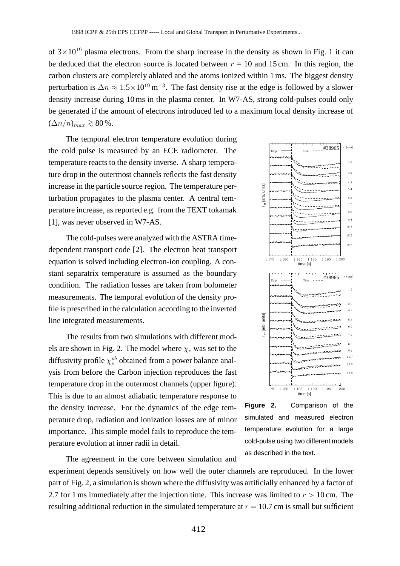of  $3 \times 10^{19}$  plasma electrons. From the sharp increase in the density as shown in Fig. 1 it can be deduced that the electron source is located between  $r = 10$  and 15 cm. In this region, the carbon clusters are completely ablated and the atoms ionized within 1 ms. The biggest density perturbation is  $\Delta n \approx 1.5 \times 10^{19} \,\text{m}^{-3}$ . The fast density rise at the edge is followed by a slower density increase during 10 ms in the plasma center. In W7-AS, strong cold-pulses could only be generated if the amount of electrons introduced led to a maximum local density increase of  $(\Delta n/n)_{max} \gtrsim 80\%$ .

The temporal electron temperature evolution during the cold pulse is measured by an ECE radiometer. The temperature reacts to the density inverse. A sharp temperature drop in the outermost channels reflects the fast density increase in the particle source region. The temperature perturbation propagates to the plasma center. A central temperature increase, as reported e.g. from the TEXT tokamak [1], was never observed in W7-AS.

The cold-pulses were analyzed with the ASTRA timedependent transport code [2]. The electron heat transport equation is solved including electron-ion coupling. A constant separatrix temperature is assumed as the boundary condition. The radiation losses are taken from bolometer measurements. The temporal evolution of the density profile is prescribed in the calculation according to the inverted line integrated measurements.

The results from two simulations with different models are shown in Fig. 2. The model where  $\chi_e$  was set to the diffusivity profile  $\chi_e^{pb}$  obtained from a power balance analysis from before the Carbon injection reproduces the fast temperature drop in the outermost channels (upper figure). This is due to an almost adiabatic temperature response to the density increase. For the dynamics of the edge temperature drop, radiation and ionization losses are of minor importance. This simple model fails to reproduce the temperature evolution at inner radii in detail. of  $3 \times 10^{19}$  phasma electrons. From the sharp increase in the density as shown be deduced that the electron source is located between  $r = 10$  and 15 cm. In perturbation is  $\Delta n \approx 1.5 \times 10^{19}$  m<sup>-2</sup>. The fast density i

sim.: ---- #38965  $r$  (cm)  $1.6$  $2.9$ 4.2 Te [arb. units]  $5.4$ 6.6  $7.7$ 8.3  $9.4$  $10.7$ 12.2 13.5 1.190 1.195 1.200 time [s] #38965  $r$  (cm)  $1.6$ 2.9  $4.2$ Te [arb. units]  $6.4$ 6.6  $7,7$  $8.3$  $9.4$ 10.7  $12.2$ 13.5 1.190 1.195 1.200 time [s]

**Figure 2.** Comparison of the simulated and measured electron temperature evolution for a large cold-pulse using two different models as described in the text.

The agreement in the core between simulation and experiment depends sensitively on how well the outer channels are reproduced. In the lower

part of Fig. 2, a simulation is shown where the diffusivity was artificially enhanced by a factor of 2.7 for 1 ms immediately after the injection time. This increase was limited to  $r > 10$  cm. The resulting additional reduction in the simulated temperature at  $r = 10.7$  cm is small but sufficient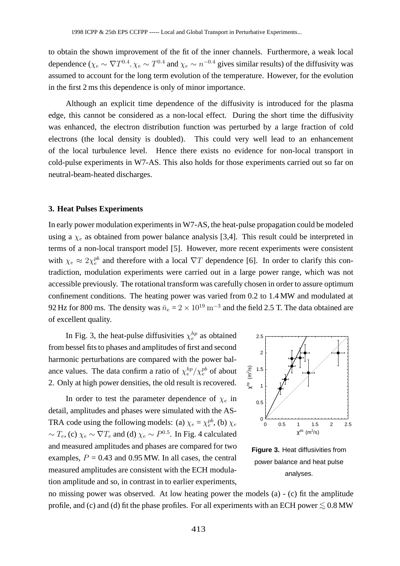to obtain the shown improvement of the fit of the inner channels. Furthermore, a weak local dependence ( $\chi_e \sim \nabla T^{0.4}$ ,  $\chi_e \sim T^{0.4}$  and  $\chi_e \sim n^{-0.4}$  gives similar results) of the diffusivity was assumed to account for the long term evolution of the temperature. However, for the evolution in the first 2 ms this dependence is only of minor importance.

Although an explicit time dependence of the diffusivity is introduced for the plasma edge, this cannot be considered as a non-local effect. During the short time the diffusivity was enhanced, the electron distribution function was perturbed by a large fraction of cold electrons (the local density is doubled). This could very well lead to an enhancement of the local turbulence level. Hence there exists no evidence for non-local transport in cold-pulse experiments in W7-AS. This also holds for those experiments carried out so far on neutral-beam-heated discharges.

#### **3. Heat Pulses Experiments**

In early power modulation experiments in W7-AS, the heat-pulse propagation could be modeled using a  $\chi_e$  as obtained from power balance analysis [3,4]. This result could be interpreted in terms of a non-local transport model [5]. However, more recent experiments were consistent with  $\chi_e \approx 2\chi_e^{pb}$  and therefore with a local  $\nabla T$  dependence [6]. In order to clarify this contradiction, modulation experiments were carried out in a large power range, which was not accessible previously. The rotational transform was carefully chosen in order to assure optimum confinement conditions. The heating power was varied from 0.2 to 1.4 MW and modulated at 92 Hz for 800 ms. The density was  $\bar{n}_e = 2 \times 10^{19} \text{ m}^{-3}$  and the field 2.5 T. The data obtained are of excellent quality. 16 obtain the shown improvement of the fit of the inner channels. Furthermo<br>
dependence  $(\chi_e \sim \nabla T^{0.4}, \chi_e \sim T^{0.4}$  and  $\chi_e \sim \pi^{-0.4}$  gives similar results) of the<br>
assumed to account for the long term evolution of the

In Fig. 3, the heat-pulse diffusivities  $\chi_e^{hp}$  as obtained from bessel fits to phases and amplitudes of first and second harmonic perturbations are compared with the power balance values. The data confirm a ratio of  $\chi_e^{hp}/\chi_e^{pb}$  of about 2. Only at high power densities, the old result is recovered.

In order to test the parameter dependence of  $\chi_e$  in detail, amplitudes and phases were simulated with the AS-TRA code using the following models: (a)  $\chi_e = \chi_e^{pb}$ , (b)  $\chi_e$  $\sim T_e$ , (c)  $\chi_e \sim \nabla T_e$  and (d)  $\chi_e \sim P^{0.5}$ . In Fig. 4 calculated and measured amplitudes and phases are compared for two examples,  $P = 0.43$  and 0.95 MW. In all cases, the central measured amplitudes are consistent with the ECH modulation amplitude and so, in contrast in to earlier experiments,



**Figure 3.** Heat diffusivities from power balance and heat pulse analyses.

no missing power was observed. At low heating power the models (a) - (c) fit the amplitude profile, and (c) and (d) fit the phase profiles. For all experiments with an ECH power  $\lesssim 0.8$  MW